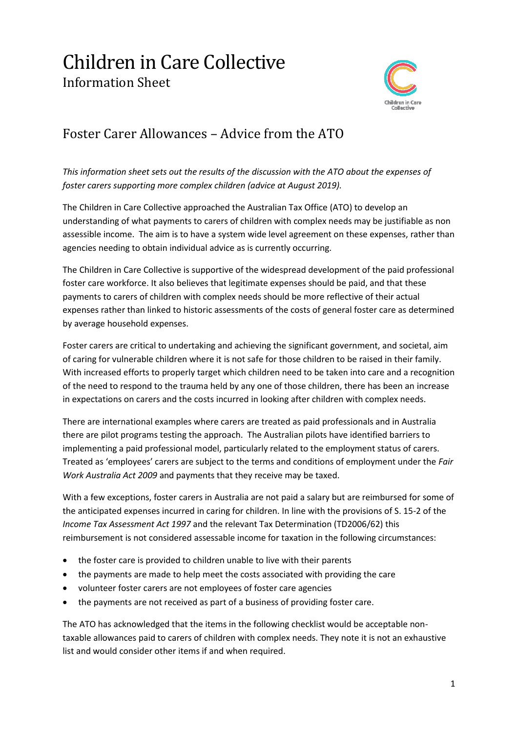## Children in Care Collective Information Sheet



## Foster Carer Allowances – Advice from the ATO

*This information sheet sets out the results of the discussion with the ATO about the expenses of foster carers supporting more complex children (advice at August 2019).*

The Children in Care Collective approached the Australian Tax Office (ATO) to develop an understanding of what payments to carers of children with complex needs may be justifiable as non assessible income. The aim is to have a system wide level agreement on these expenses, rather than agencies needing to obtain individual advice as is currently occurring.

The Children in Care Collective is supportive of the widespread development of the paid professional foster care workforce. It also believes that legitimate expenses should be paid, and that these payments to carers of children with complex needs should be more reflective of their actual expenses rather than linked to historic assessments of the costs of general foster care as determined by average household expenses.

Foster carers are critical to undertaking and achieving the significant government, and societal, aim of caring for vulnerable children where it is not safe for those children to be raised in their family. With increased efforts to properly target which children need to be taken into care and a recognition of the need to respond to the trauma held by any one of those children, there has been an increase in expectations on carers and the costs incurred in looking after children with complex needs.

There are international examples where carers are treated as paid professionals and in Australia there are pilot programs testing the approach. The Australian pilots have identified barriers to implementing a paid professional model, particularly related to the employment status of carers. Treated as 'employees' carers are subject to the terms and conditions of employment under the *Fair Work Australia Act 2009* and payments that they receive may be taxed.

With a few exceptions, foster carers in Australia are not paid a salary but are reimbursed for some of the anticipated expenses incurred in caring for children. In line with the provisions of S. 15-2 of the *Income Tax Assessment Act 1997* and the relevant Tax Determination (TD2006/62) this reimbursement is not considered assessable income for taxation in the following circumstances:

- the foster care is provided to children unable to live with their parents
- the payments are made to help meet the costs associated with providing the care
- volunteer foster carers are not employees of foster care agencies
- the payments are not received as part of a business of providing foster care.

The ATO has acknowledged that the items in the following checklist would be acceptable nontaxable allowances paid to carers of children with complex needs. They note it is not an exhaustive list and would consider other items if and when required.